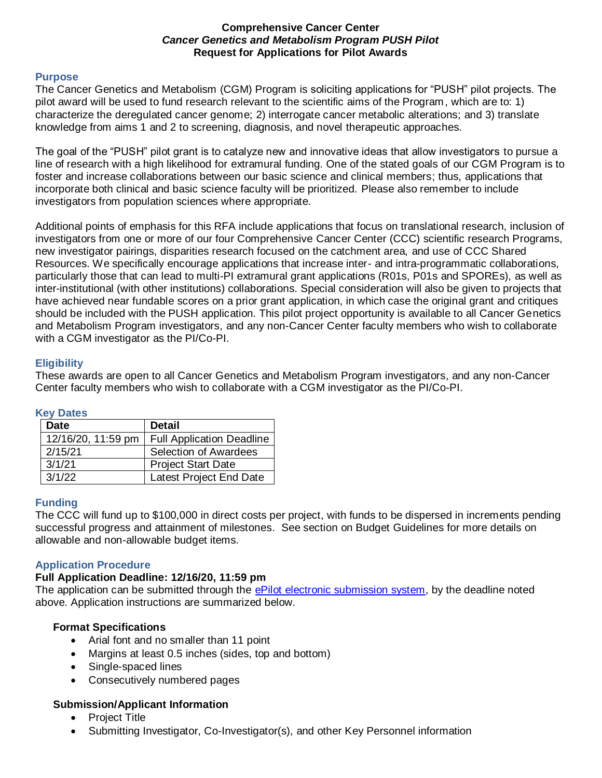### **Comprehensive Cancer Center**  *Cancer Genetics and Metabolism Program PUSH Pilot* **Request for Applications for Pilot Awards**

#### **Purpose**

The Cancer Genetics and Metabolism (CGM) Program is soliciting applications for "PUSH" pilot projects. The pilot award will be used to fund research relevant to the scientific aims of the Program, which are to: 1) characterize the deregulated cancer genome; 2) interrogate cancer metabolic alterations; and 3) translate knowledge from aims 1 and 2 to screening, diagnosis, and novel therapeutic approaches.

The goal of the "PUSH" pilot grant is to catalyze new and innovative ideas that allow investigators to pursue a line of research with a high likelihood for extramural funding. One of the stated goals of our CGM Program is to foster and increase collaborations between our basic science and clinical members; thus, applications that incorporate both clinical and basic science faculty will be prioritized. Please also remember to include investigators from population sciences where appropriate.

Additional points of emphasis for this RFA include applications that focus on translational research, inclusion of investigators from one or more of our four Comprehensive Cancer Center (CCC) scientific research Programs, new investigator pairings, disparities research focused on the catchment area, and use of CCC Shared Resources. We specifically encourage applications that increase inter- and intra-programmatic collaborations, particularly those that can lead to multi-PI extramural grant applications (R01s, P01s and SPOREs), as well as inter-institutional (with other institutions) collaborations. Special consideration will also be given to projects that have achieved near fundable scores on a prior grant application, in which case the original grant and critiques should be included with the PUSH application. This pilot project opportunity is available to all Cancer Genetics and Metabolism Program investigators, and any non-Cancer Center faculty members who wish to collaborate with a CGM investigator as the PI/Co-PI.

### **Eligibility**

These awards are open to all Cancer Genetics and Metabolism Program investigators, and any non-Cancer Center faculty members who wish to collaborate with a CGM investigator as the PI/Co-PI.

#### **Key Dates**

| <b>Date</b>        | <b>Detail</b>                    |
|--------------------|----------------------------------|
| 12/16/20, 11:59 pm | <b>Full Application Deadline</b> |
| 2/15/21            | Selection of Awardees            |
| 3/1/21             | <b>Project Start Date</b>        |
| 3/1/22             | Latest Project End Date          |

### **Funding**

The CCC will fund up to \$100,000 in direct costs per project, with funds to be dispersed in increments pending successful progress and attainment of milestones. See section on Budget Guidelines for more details on allowable and non-allowable budget items.

### **Application Procedure**

#### **Full Application Deadline: 12/16/20, 11:59 pm**

The application can be submitted through the [ePilot electronic submission system,](https://redcap.wakehealth.edu/redcap/surveys/?s=3T8WRX93MK) by the deadline noted above. Application instructions are summarized below.

### **Format Specifications**

- Arial font and no smaller than 11 point
- Margins at least 0.5 inches (sides, top and bottom)
- Single-spaced lines
- Consecutively numbered pages

### **Submission/Applicant Information**

- Project Title
- Submitting Investigator, Co-Investigator(s), and other Key Personnel information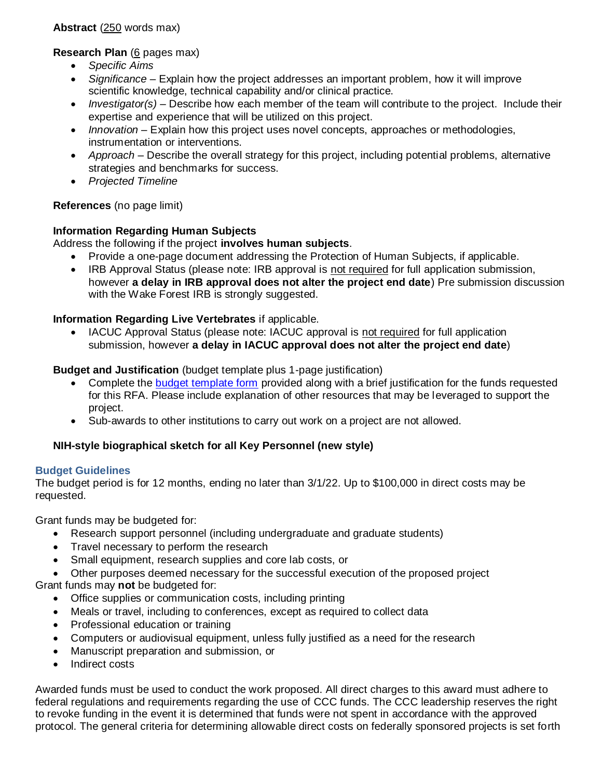**Abstract** (250 words max)

**Research Plan** (6 pages max)

- *Specific Aims*
- *Significance* Explain how the project addresses an important problem, how it will improve scientific knowledge, technical capability and/or clinical practice.
- *Investigator(s)* Describe how each member of the team will contribute to the project. Include their expertise and experience that will be utilized on this project.
- *Innovation* Explain how this project uses novel concepts, approaches or methodologies, instrumentation or interventions.
- *Approach* Describe the overall strategy for this project, including potential problems, alternative strategies and benchmarks for success.
- *Projected Timeline*

# **References** (no page limit)

# **Information Regarding Human Subjects**

Address the following if the project **involves human subjects**.

- Provide a one-page document addressing the Protection of Human Subjects, if applicable.
- IRB Approval Status (please note: IRB approval is not required for full application submission, however **a delay in IRB approval does not alter the project end date**) Pre submission discussion with the Wake Forest IRB is strongly suggested.

**Information Regarding Live Vertebrates** if applicable.

 IACUC Approval Status (please note: IACUC approval is not required for full application submission, however **a delay in IACUC approval does not alter the project end date**)

# **Budget and Justification** (budget template plus 1-page justification)

- Complete the [budget template form](https://wakehealth.sharepoint.com/:x:/r/teams/CTSIWebCollection/Shared%20Documents/CSTI-Public/CTSI%20Pilot%20Budget%20Template.xlsx) provided along with a brief justification for the funds requested for this RFA. Please include explanation of other resources that may be leveraged to support the project.
- Sub-awards to other institutions to carry out work on a project are not allowed.

# **NIH-style biographical sketch for all Key Personnel (new style)**

# **Budget Guidelines**

The budget period is for 12 months, ending no later than 3/1/22. Up to \$100,000 in direct costs may be requested.

Grant funds may be budgeted for:

- Research support personnel (including undergraduate and graduate students)
- Travel necessary to perform the research
- Small equipment, research supplies and core lab costs, or
- Other purposes deemed necessary for the successful execution of the proposed project Grant funds may **not** be budgeted for:
	- Office supplies or communication costs, including printing
	- Meals or travel, including to conferences, except as required to collect data
	- Professional education or training
	- Computers or audiovisual equipment, unless fully justified as a need for the research
	- Manuscript preparation and submission, or
	- Indirect costs

Awarded funds must be used to conduct the work proposed. All direct charges to this award must adhere to federal regulations and requirements regarding the use of CCC funds. The CCC leadership reserves the right to revoke funding in the event it is determined that funds were not spent in accordance with the approved protocol. The general criteria for determining allowable direct costs on federally sponsored projects is set forth